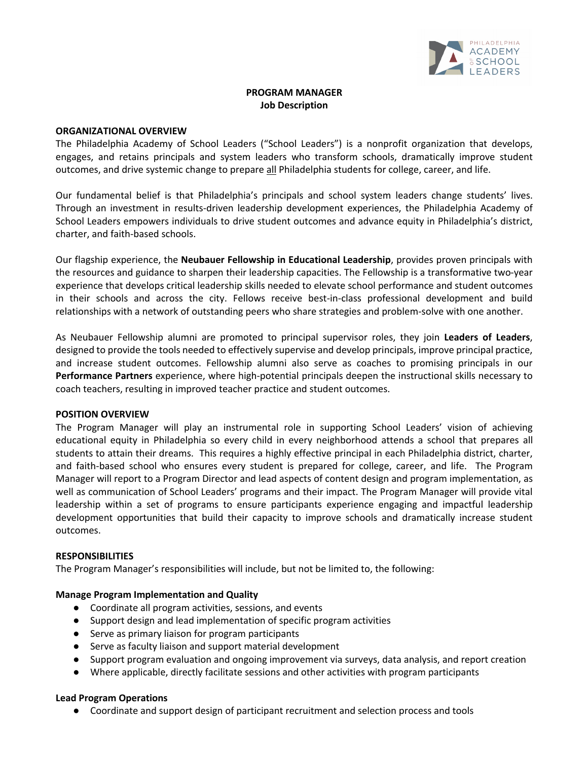

# **PROGRAM MANAGER Job Description**

#### **ORGANIZATIONAL OVERVIEW**

The Philadelphia Academy of School Leaders ("School Leaders") is a nonprofit organization that develops, engages, and retains principals and system leaders who transform schools, dramatically improve student outcomes, and drive systemic change to prepare all Philadelphia students for college, career, and life.

Our fundamental belief is that Philadelphia's principals and school system leaders change students' lives. Through an investment in results-driven leadership development experiences, the Philadelphia Academy of School Leaders empowers individuals to drive student outcomes and advance equity in Philadelphia's district, charter, and faith-based schools.

Our flagship experience, the **Neubauer Fellowship in Educational Leadership**, provides proven principals with the resources and guidance to sharpen their leadership capacities. The Fellowship is a transformative two-year experience that develops critical leadership skills needed to elevate school performance and student outcomes in their schools and across the city. Fellows receive best-in-class professional development and build relationships with a network of outstanding peers who share strategies and problem-solve with one another.

As Neubauer Fellowship alumni are promoted to principal supervisor roles, they join **Leaders of Leaders**, designed to provide the tools needed to effectively supervise and develop principals, improve principal practice, and increase student outcomes. Fellowship alumni also serve as coaches to promising principals in our **Performance Partners** experience, where high-potential principals deepen the instructional skills necessary to coach teachers, resulting in improved teacher practice and student outcomes.

#### **POSITION OVERVIEW**

The Program Manager will play an instrumental role in supporting School Leaders' vision of achieving educational equity in Philadelphia so every child in every neighborhood attends a school that prepares all students to attain their dreams. This requires a highly effective principal in each Philadelphia district, charter, and faith-based school who ensures every student is prepared for college, career, and life. The Program Manager will report to a Program Director and lead aspects of content design and program implementation, as well as communication of School Leaders' programs and their impact. The Program Manager will provide vital leadership within a set of programs to ensure participants experience engaging and impactful leadership development opportunities that build their capacity to improve schools and dramatically increase student outcomes.

# **RESPONSIBILITIES**

The Program Manager's responsibilities will include, but not be limited to, the following:

#### **Manage Program Implementation and Quality**

- Coordinate all program activities, sessions, and events
- Support design and lead implementation of specific program activities
- Serve as primary liaison for program participants
- Serve as faculty liaison and support material development
- Support program evaluation and ongoing improvement via surveys, data analysis, and report creation
- Where applicable, directly facilitate sessions and other activities with program participants

#### **Lead Program Operations**

● Coordinate and support design of participant recruitment and selection process and tools